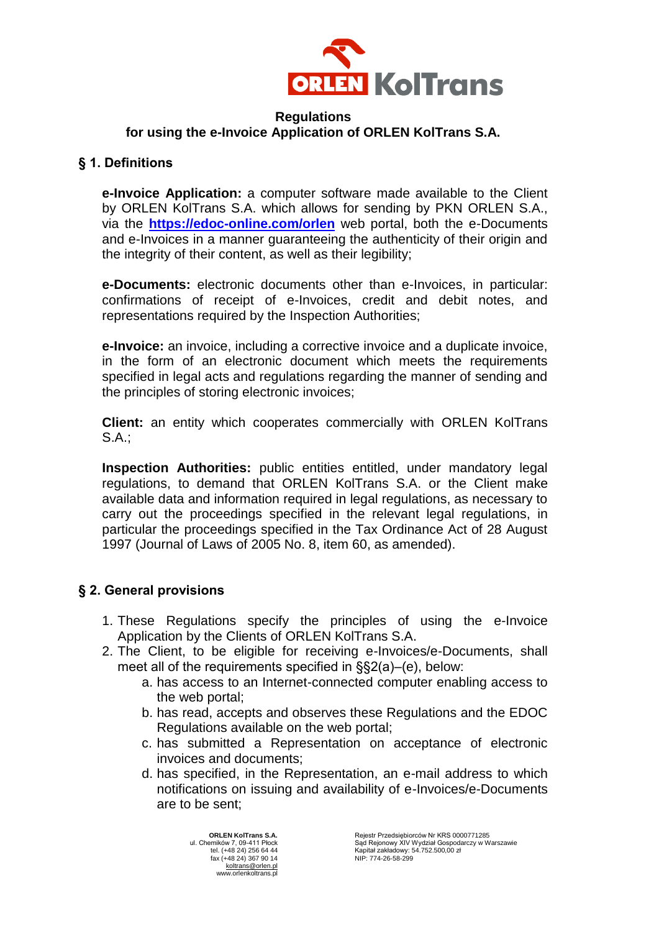

## **Regulations for using the e-Invoice Application of ORLEN KolTrans S.A.**

## **§ 1. Definitions**

**e-Invoice Application:** a computer software made available to the Client by ORLEN KolTrans S.A. which allows for sending by PKN ORLEN S.A., via the **<https://edoc-online.com/orlen>** web portal, both the e-Documents and e-Invoices in a manner guaranteeing the authenticity of their origin and the integrity of their content, as well as their legibility;

**e-Documents:** electronic documents other than e-Invoices, in particular: confirmations of receipt of e-Invoices, credit and debit notes, and representations required by the Inspection Authorities;

**e-Invoice:** an invoice, including a corrective invoice and a duplicate invoice, in the form of an electronic document which meets the requirements specified in legal acts and regulations regarding the manner of sending and the principles of storing electronic invoices;

**Client:** an entity which cooperates commercially with ORLEN KolTrans S.A.;

**Inspection Authorities:** public entities entitled, under mandatory legal regulations, to demand that ORLEN KolTrans S.A. or the Client make available data and information required in legal regulations, as necessary to carry out the proceedings specified in the relevant legal regulations, in particular the proceedings specified in the Tax Ordinance Act of 28 August 1997 (Journal of Laws of 2005 No. 8, item 60, as amended).

# **§ 2. General provisions**

- 1. These Regulations specify the principles of using the e-Invoice Application by the Clients of ORLEN KolTrans S.A.
- 2. The Client, to be eligible for receiving e-Invoices/e-Documents, shall meet all of the requirements specified in §§2(a)–(e), below:
	- a. has access to an Internet-connected computer enabling access to the web portal;
	- b. has read, accepts and observes these Regulations and the EDOC Regulations available on the web portal;
	- c. has submitted a Representation on acceptance of electronic invoices and documents;
	- d. has specified, in the Representation, an e-mail address to which notifications on issuing and availability of e-Invoices/e-Documents are to be sent;

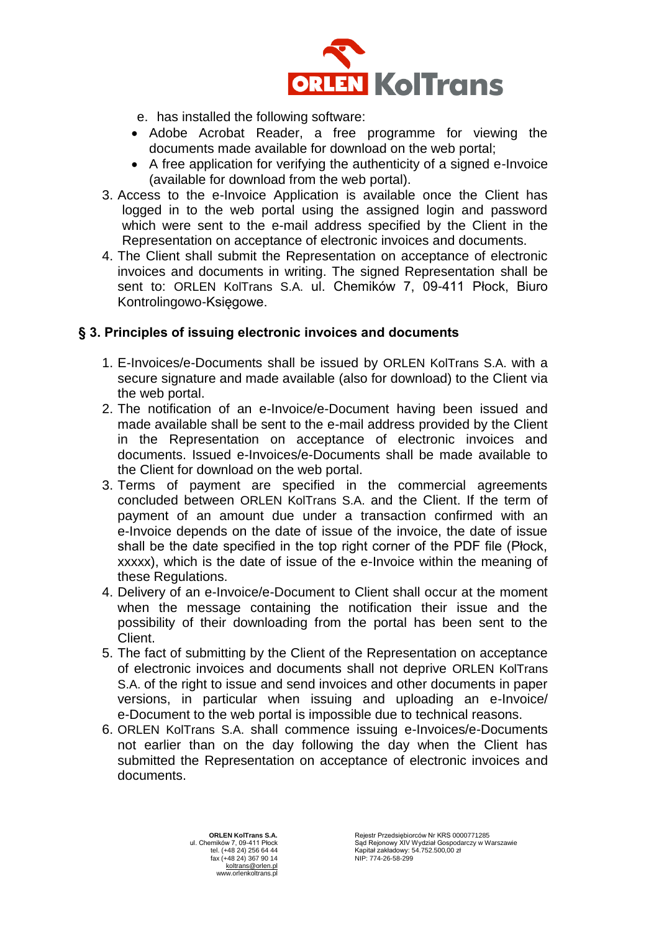

- e. has installed the following software:
- Adobe Acrobat Reader, a free programme for viewing the documents made available for download on the web portal;
- A free application for verifying the authenticity of a signed e-Invoice (available for download from the web portal).
- 3. Access to the e-Invoice Application is available once the Client has logged in to the web portal using the assigned login and password which were sent to the e-mail address specified by the Client in the Representation on acceptance of electronic invoices and documents.
- 4. The Client shall submit the Representation on acceptance of electronic invoices and documents in writing. The signed Representation shall be sent to: ORLEN KolTrans S.A. ul. Chemików 7, 09-411 Płock, Biuro Kontrolingowo-Księgowe.

## **§ 3. Principles of issuing electronic invoices and documents**

- 1. E-Invoices/e-Documents shall be issued by ORLEN KolTrans S.A. with a secure signature and made available (also for download) to the Client via the web portal.
- 2. The notification of an e-Invoice/e-Document having been issued and made available shall be sent to the e-mail address provided by the Client in the Representation on acceptance of electronic invoices and documents. Issued e-Invoices/e-Documents shall be made available to the Client for download on the web portal.
- 3. Terms of payment are specified in the commercial agreements concluded between ORLEN KolTrans S.A. and the Client. If the term of payment of an amount due under a transaction confirmed with an e-Invoice depends on the date of issue of the invoice, the date of issue shall be the date specified in the top right corner of the PDF file (Płock, xxxxx), which is the date of issue of the e-Invoice within the meaning of these Regulations.
- 4. Delivery of an e-Invoice/e-Document to Client shall occur at the moment when the message containing the notification their issue and the possibility of their downloading from the portal has been sent to the Client.
- 5. The fact of submitting by the Client of the Representation on acceptance of electronic invoices and documents shall not deprive ORLEN KolTrans S.A. of the right to issue and send invoices and other documents in paper versions, in particular when issuing and uploading an e-Invoice/ e-Document to the web portal is impossible due to technical reasons.
- 6. ORLEN KolTrans S.A. shall commence issuing e-Invoices/e-Documents not earlier than on the day following the day when the Client has submitted the Representation on acceptance of electronic invoices and documents.

**ORLEN KolTrans S.A.** ul. Chemików 7, 09-411 Płock tel. (+48 24) 256 64 44 fax (+48 24) 367 90 14 [koltrans@orlen.pl](mailto:koltrans@orlen.pl) www.orlenkoltrans.pl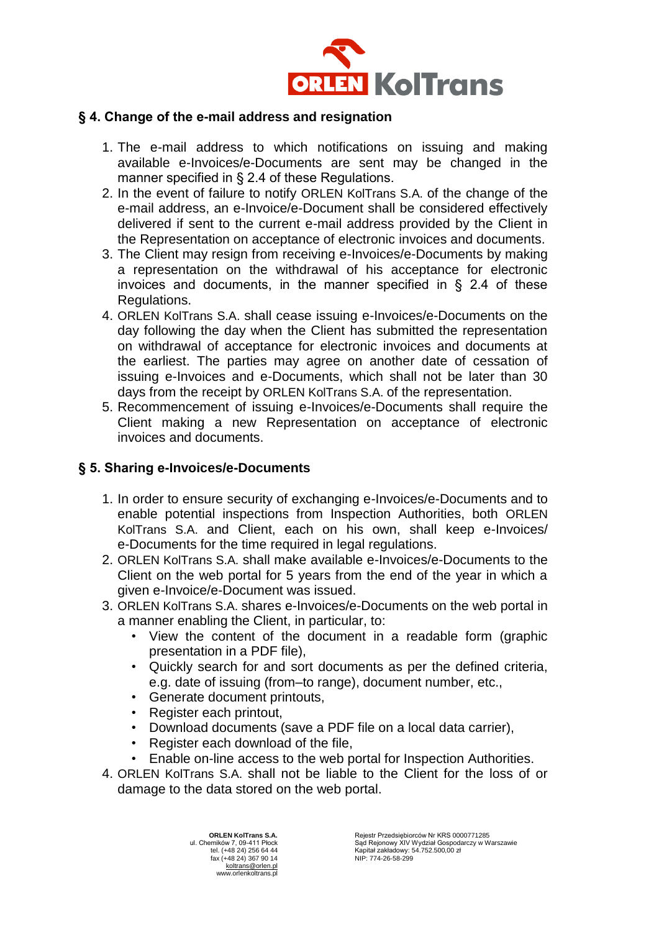

#### **§ 4. Change of the e-mail address and resignation**

- 1. The e-mail address to which notifications on issuing and making available e-Invoices/e-Documents are sent may be changed in the manner specified in § 2.4 of these Regulations.
- 2. In the event of failure to notify ORLEN KolTrans S.A. of the change of the e-mail address, an e-Invoice/e-Document shall be considered effectively delivered if sent to the current e-mail address provided by the Client in the Representation on acceptance of electronic invoices and documents.
- 3. The Client may resign from receiving e-Invoices/e-Documents by making a representation on the withdrawal of his acceptance for electronic invoices and documents, in the manner specified in § 2.4 of these Regulations.
- 4. ORLEN KolTrans S.A. shall cease issuing e-Invoices/e-Documents on the day following the day when the Client has submitted the representation on withdrawal of acceptance for electronic invoices and documents at the earliest. The parties may agree on another date of cessation of issuing e-Invoices and e-Documents, which shall not be later than 30 days from the receipt by ORLEN KolTrans S.A. of the representation.
- 5. Recommencement of issuing e-Invoices/e-Documents shall require the Client making a new Representation on acceptance of electronic invoices and documents.

## **§ 5. Sharing e-Invoices/e-Documents**

- 1. In order to ensure security of exchanging e-Invoices/e-Documents and to enable potential inspections from Inspection Authorities, both ORLEN KolTrans S.A. and Client, each on his own, shall keep e-Invoices/ e-Documents for the time required in legal regulations.
- 2. ORLEN KolTrans S.A. shall make available e-Invoices/e-Documents to the Client on the web portal for 5 years from the end of the year in which a given e-Invoice/e-Document was issued.
- 3. ORLEN KolTrans S.A. shares e-Invoices/e-Documents on the web portal in a manner enabling the Client, in particular, to:
	- View the content of the document in a readable form (graphic presentation in a PDF file),
	- Quickly search for and sort documents as per the defined criteria, e.g. date of issuing (from–to range), document number, etc.,
	- Generate document printouts,
	- Register each printout,
	- Download documents (save a PDF file on a local data carrier),
	- Register each download of the file,
	- Enable on-line access to the web portal for Inspection Authorities.
- 4. ORLEN KolTrans S.A. shall not be liable to the Client for the loss of or damage to the data stored on the web portal.

**ORLEN KolTrans S.A.** ul. Chemików 7, 09-411 Płock tel. (+48 24) 256 64 44 fax (+48 24) 367 90 14 [koltrans@orlen.pl](mailto:koltrans@orlen.pl) www.orlenkoltrans.pl